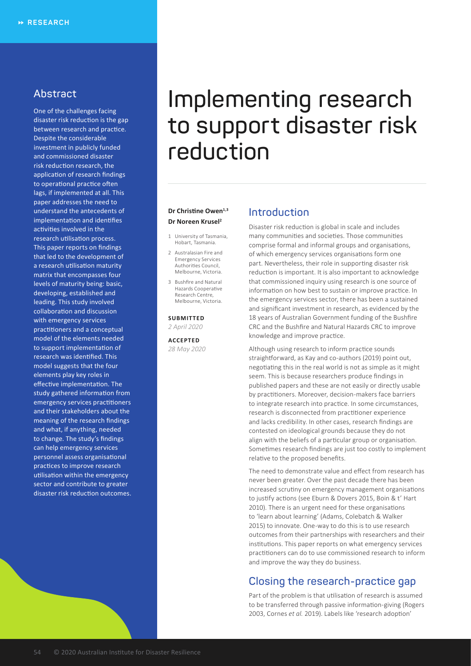# **Abstract**

One of the challenges facing disaster risk reduction is the gap between research and practice. Despite the considerable investment in publicly funded and commissioned disaster risk reduction research, the application of research findings to operational practice often lags, if implemented at all. This paper addresses the need to understand the antecedents of implementation and identifies activities involved in the research utilisation process. This paper reports on findings that led to the development of a research utilisation maturity matrix that encompasses four levels of maturity being: basic, developing, established and leading. This study involved collaboration and discussion with emergency services practitioners and a conceptual model of the elements needed to support implementation of research was identified. This model suggests that the four elements play key roles in effective implementation. The study gathered information from emergency services practitioners and their stakeholders about the meaning of the research findings and what, if anything, needed to change. The study's findings can help emergency services personnel assess organisational practices to improve research utilisation within the emergency sector and contribute to greater disaster risk reduction outcomes.

# **Implementing research to support disaster risk reduction**

## **Dr Christine Owen1,3 Dr Noreen Krusel<sup>2</sup>**

- 1 University of Tasmania, Hobart, Tasmania.
- 2 Australasian Fire and Emergency Services Authorities Council, Melbourne, Victoria.
- 3 Bushfire and Natural Hazards Cooperative Research Centre, Melbourne, Victoria.

#### **SUBMITTED**

*2 April 2020*

**ACCEPTED** *28 May 2020*

# **Introduction**

Disaster risk reduction is global in scale and includes many communities and societies. Those communities comprise formal and informal groups and organisations, of which emergency services organisations form one part. Nevertheless, their role in supporting disaster risk reduction is important. It is also important to acknowledge that commissioned inquiry using research is one source of information on how best to sustain or improve practice. In the emergency services sector, there has been a sustained and significant investment in research, as evidenced by the 18 years of Australian Government funding of the Bushfire CRC and the Bushfire and Natural Hazards CRC to improve knowledge and improve practice.

Although using research to inform practice sounds straightforward, as Kay and co-authors (2019) point out, negotiating this in the real world is not as simple as it might seem. This is because researchers produce findings in published papers and these are not easily or directly usable by practitioners. Moreover, decision-makers face barriers to integrate research into practice. In some circumstances, research is disconnected from practitioner experience and lacks credibility. In other cases, research findings are contested on ideological grounds because they do not align with the beliefs of a particular group or organisation. Sometimes research findings are just too costly to implement relative to the proposed benefits.

The need to demonstrate value and effect from research has never been greater. Over the past decade there has been increased scrutiny on emergency management organisations to justify actions (see Eburn & Dovers 2015, Boin & t' Hart 2010). There is an urgent need for these organisations to 'learn about learning' (Adams, Colebatch & Walker 2015) to innovate. One-way to do this is to use research outcomes from their partnerships with researchers and their institutions. This paper reports on what emergency services practitioners can do to use commissioned research to inform and improve the way they do business.

# **Closing the research-practice gap**

Part of the problem is that utilisation of research is assumed to be transferred through passive information-giving (Rogers 2003, Cornes *et al.* 2019). Labels like 'research adoption'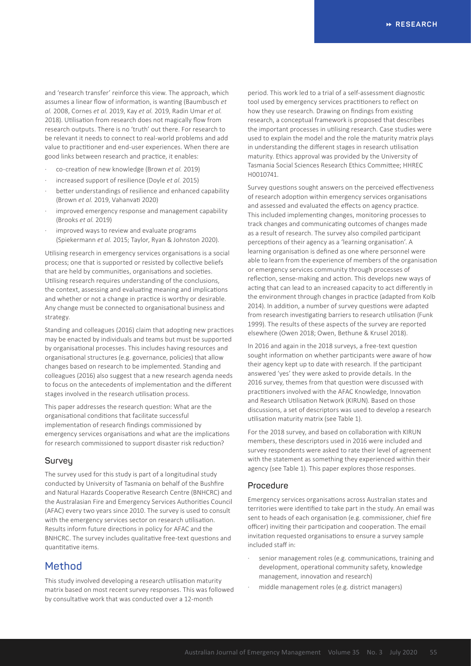and 'research transfer' reinforce this view. The approach, which assumes a linear flow of information, is wanting (Baumbusch *et al.* 2008, Cornes *et al.* 2019, Kay *et al.* 2019, Radin Umar *et al.* 2018). Utilisation from research does not magically flow from research outputs. There is no 'truth' out there. For research to be relevant it needs to connect to real-world problems and add value to practitioner and end-user experiences. When there are good links between research and practice, it enables:

- · co-creation of new knowledge (Brown *et al.* 2019)
- increased support of resilience (Doyle *et al.* 2015)
- better understandings of resilience and enhanced capability (Brown *et al.* 2019, Vahanvati 2020)
- improved emergency response and management capability (Brooks *et al.* 2019)
- improved ways to review and evaluate programs (Spiekermann *et al.* 2015; Taylor, Ryan & Johnston 2020).

Utilising research in emergency services organisations is a social process; one that is supported or resisted by collective beliefs that are held by communities, organisations and societies. Utilising research requires understanding of the conclusions, the context, assessing and evaluating meaning and implications and whether or not a change in practice is worthy or desirable. Any change must be connected to organisational business and strategy.

Standing and colleagues (2016) claim that adopting new practices may be enacted by individuals and teams but must be supported by organisational processes. This includes having resources and organisational structures (e.g. governance, policies) that allow changes based on research to be implemented. Standing and colleagues (2016) also suggest that a new research agenda needs to focus on the antecedents of implementation and the different stages involved in the research utilisation process.

This paper addresses the research question: What are the organisational conditions that facilitate successful implementation of research findings commissioned by emergency services organisations and what are the implications for research commissioned to support disaster risk reduction?

## **Survey**

The survey used for this study is part of a longitudinal study conducted by University of Tasmania on behalf of the Bushfire and Natural Hazards Cooperative Research Centre (BNHCRC) and the Australasian Fire and Emergency Services Authorities Council (AFAC) every two years since 2010. The survey is used to consult with the emergency services sector on research utilisation. Results inform future directions in policy for AFAC and the BNHCRC. The survey includes qualitative free-text questions and quantitative items.

# **Method**

This study involved developing a research utilisation maturity matrix based on most recent survey responses. This was followed by consultative work that was conducted over a 12-month

period. This work led to a trial of a self-assessment diagnostic tool used by emergency services practitioners to reflect on how they use research. Drawing on findings from existing research, a conceptual framework is proposed that describes the important processes in utilising research. Case studies were used to explain the model and the role the maturity matrix plays in understanding the different stages in research utilisation maturity. Ethics approval was provided by the University of Tasmania Social Sciences Research Ethics Committee; HHREC H0010741.

Survey questions sought answers on the perceived effectiveness of research adoption within emergency services organisations and assessed and evaluated the effects on agency practice. This included implementing changes, monitoring processes to track changes and communicating outcomes of changes made as a result of research. The survey also compiled participant perceptions of their agency as a 'learning organisation'. A learning organisation is defined as one where personnel were able to learn from the experience of members of the organisation or emergency services community through processes of reflection, sense-making and action. This develops new ways of acting that can lead to an increased capacity to act differently in the environment through changes in practice (adapted from Kolb 2014). In addition, a number of survey questions were adapted from research investigating barriers to research utilisation (Funk 1999). The results of these aspects of the survey are reported elsewhere (Owen 2018; Owen, Bethune & Krusel 2018).

In 2016 and again in the 2018 surveys, a free-text question sought information on whether participants were aware of how their agency kept up to date with research. If the participant answered 'yes' they were asked to provide details. In the 2016 survey, themes from that question were discussed with practitioners involved with the AFAC Knowledge, Innovation and Research Utilisation Network (KIRUN). Based on those discussions, a set of descriptors was used to develop a research utilisation maturity matrix (see Table 1).

For the 2018 survey, and based on collaboration with KIRUN members, these descriptors used in 2016 were included and survey respondents were asked to rate their level of agreement with the statement as something they experienced within their agency (see Table 1). This paper explores those responses.

## **Procedure**

Emergency services organisations across Australian states and territories were identified to take part in the study. An email was sent to heads of each organisation (e.g. commissioner, chief fire officer) inviting their participation and cooperation. The email invitation requested organisations to ensure a survey sample included staff in:

- senior management roles (e.g. communications, training and development, operational community safety, knowledge management, innovation and research)
- middle management roles (e.g. district managers)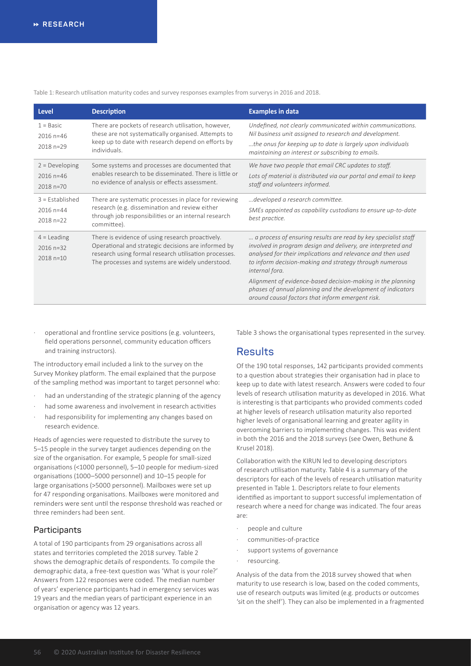Table 1: Research utilisation maturity codes and survey responses examples from surverys in 2016 and 2018.

| <b>Level</b>                                      | <b>Description</b>                                                                                                                                                                                                   | <b>Examples in data</b>                                                                                                                                                                                                                                                                                                                                                                                  |  |
|---------------------------------------------------|----------------------------------------------------------------------------------------------------------------------------------------------------------------------------------------------------------------------|----------------------------------------------------------------------------------------------------------------------------------------------------------------------------------------------------------------------------------------------------------------------------------------------------------------------------------------------------------------------------------------------------------|--|
| $1 = Basic$<br>$2016 n = 46$<br>$2018 n=29$       | There are pockets of research utilisation, however,<br>these are not systematically organised. Attempts to<br>keep up to date with research depend on efforts by<br>individuals.                                     | Undefined, not clearly communicated within communications.<br>Nil business unit assigned to research and development.<br>the onus for keeping up to date is largely upon individuals<br>maintaining an interest or subscribing to emails.                                                                                                                                                                |  |
| $2 = Developing$<br>$2016 n = 46$<br>2018 n=70    | Some systems and processes are documented that<br>enables research to be disseminated. There is little or<br>no evidence of analysis or effects assessment.                                                          | We have two people that email CRC updates to staff.<br>Lots of material is distributed via our portal and email to keep<br>staff and volunteers informed.                                                                                                                                                                                                                                                |  |
| $3 =$ Established<br>$2016 n = 44$<br>$2018 n=22$ | There are systematic processes in place for reviewing<br>research (e.g. dissemination and review either<br>through job responsibilities or an internal research<br>committee).                                       | developed a research committee.<br>SMEs appointed as capability custodians to ensure up-to-date<br>best practice.                                                                                                                                                                                                                                                                                        |  |
| $4 =$ Leading<br>$2016 n=32$<br>2018 n=10         | There is evidence of using research proactively.<br>Operational and strategic decisions are informed by<br>research using formal research utilisation processes.<br>The processes and systems are widely understood. | a process of ensuring results are read by key specialist staff<br>involved in program design and delivery, are interpreted and<br>analysed for their implications and relevance and then used<br>to inform decision-making and strategy through numerous<br>internal fora.<br>Alignment of evidence-based decision-making in the planning<br>phases of annual planning and the development of indicators |  |
|                                                   |                                                                                                                                                                                                                      | around causal factors that inform emergent risk.                                                                                                                                                                                                                                                                                                                                                         |  |

operational and frontline service positions (e.g. volunteers, field operations personnel, community education officers and training instructors).

The introductory email included a link to the survey on the Survey Monkey platform. The email explained that the purpose of the sampling method was important to target personnel who:

- had an understanding of the strategic planning of the agency
- had some awareness and involvement in research activities
- had responsibility for implementing any changes based on research evidence.

Heads of agencies were requested to distribute the survey to 5–15 people in the survey target audiences depending on the size of the organisation. For example, 5 people for small-sized organisations (<1000 personnel), 5–10 people for medium-sized organisations (1000–5000 personnel) and 10–15 people for large organisations (>5000 personnel). Mailboxes were set up for 47 responding organisations. Mailboxes were monitored and reminders were sent until the response threshold was reached or three reminders had been sent.

## **Participants**

A total of 190 participants from 29 organisations across all states and territories completed the 2018 survey. Table 2 shows the demographic details of respondents. To compile the demographic data, a free-text question was 'What is your role?' Answers from 122 responses were coded. The median number of years' experience participants had in emergency services was 19 years and the median years of participant experience in an organisation or agency was 12 years.

Table 3 shows the organisational types represented in the survey.

# **Results**

Of the 190 total responses, 142 participants provided comments to a question about strategies their organisation had in place to keep up to date with latest research. Answers were coded to four levels of research utilisation maturity as developed in 2016. What is interesting is that participants who provided comments coded at higher levels of research utilisation maturity also reported higher levels of organisational learning and greater agility in overcoming barriers to implementing changes. This was evident in both the 2016 and the 2018 surveys (see Owen, Bethune & Krusel 2018).

Collaboration with the KIRUN led to developing descriptors of research utilisation maturity. Table 4 is a summary of the descriptors for each of the levels of research utilisation maturity presented in Table 1. Descriptors relate to four elements identified as important to support successful implementation of research where a need for change was indicated. The four areas are:

- people and culture
- communities-of-practice
- support systems of governance
- resourcing.

Analysis of the data from the 2018 survey showed that when maturity to use research is low, based on the coded comments, use of research outputs was limited (e.g. products or outcomes 'sit on the shelf'). They can also be implemented in a fragmented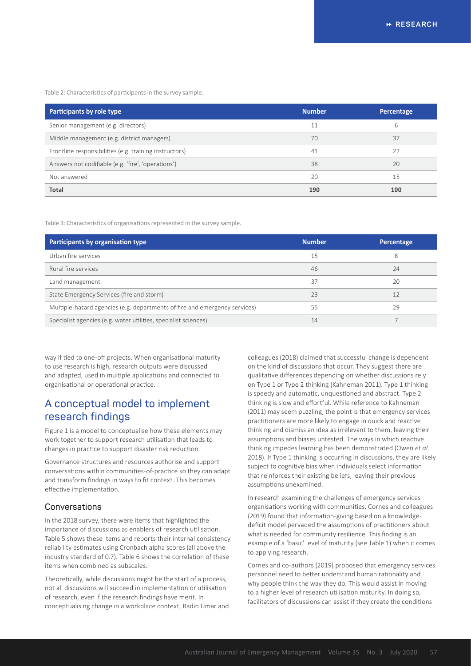Table 2: Characteristics of participants in the survey sample.

| Participants by role type                              | <b>Number</b> | Percentage |
|--------------------------------------------------------|---------------|------------|
| Senior management (e.g. directors)                     | 11            | 6          |
| Middle management (e.g. district managers)             | 70            | 37         |
| Frontline responsibilities (e.g. training instructors) | 41            | 22         |
| Answers not codifiable (e.g. 'fire', 'operations')     | 38            | 20         |
| Not answered                                           | 20            | 15         |
| Total                                                  | 190           | 100        |

Table 3: Characteristics of organisations represented in the survey sample.

| Participants by organisation type                                          | <b>Number</b> | Percentage |
|----------------------------------------------------------------------------|---------------|------------|
| Urban fire services                                                        | 15            | 8          |
| Rural fire services                                                        | 46            | 24         |
| Land management                                                            | 37            | 20         |
| State Emergency Services (fire and storm)                                  | 23            | 12         |
| Multiple-hazard agencies (e.g. departments of fire and emergency services) | 55            | 29         |
| Specialist agencies (e.g. water utilities, specialist sciences)            | 14            |            |

way if tied to one-off projects. When organisational maturity to use research is high, research outputs were discussed and adapted, used in multiple applications and connected to organisational or operational practice.

# **A conceptual model to implement research findings**

Figure 1 is a model to conceptualise how these elements may work together to support research utilisation that leads to changes in practice to support disaster risk reduction.

Governance structures and resources authorise and support conversations within communities-of-practice so they can adapt and transform findings in ways to fit context. This becomes effective implementation.

## **Conversations**

In the 2018 survey, there were items that highlighted the importance of discussions as enablers of research utilisation. Table 5 shows these items and reports their internal consistency reliability estimates using Cronbach alpha scores (all above the industry standard of 0.7). Table 6 shows the correlation of these items when combined as subscales.

Theoretically, while discussions might be the start of a process, not all discussions will succeed in implementation or utilisation of research, even if the research findings have merit. In conceptualising change in a workplace context, Radin Umar and colleagues (2018) claimed that successful change is dependent on the kind of discussions that occur. They suggest there are qualitative differences depending on whether discussions rely on Type 1 or Type 2 thinking (Kahneman 2011). Type 1 thinking is speedy and automatic, unquestioned and abstract. Type 2 thinking is slow and effortful. While reference to Kahneman (2011) may seem puzzling, the point is that emergency services practitioners are more likely to engage in quick and reactive thinking and dismiss an idea as irrelevant to them, leaving their assumptions and biases untested. The ways in which reactive thinking impedes learning has been demonstrated (Owen *et al.* 2018). If Type 1 thinking is occurring in discussions, they are likely subject to cognitive bias when individuals select information that reinforces their existing beliefs, leaving their previous assumptions unexamined.

In research examining the challenges of emergency services organisations working with communities, Cornes and colleagues (2019) found that information-giving based on a knowledgedeficit model pervaded the assumptions of practitioners about what is needed for community resilience. This finding is an example of a 'basic' level of maturity (see Table 1) when it comes to applying research.

Cornes and co-authors (2019) proposed that emergency services personnel need to better understand human rationality and why people think the way they do. This would assist in moving to a higher level of research utilisation maturity. In doing so, facilitators of discussions can assist if they create the conditions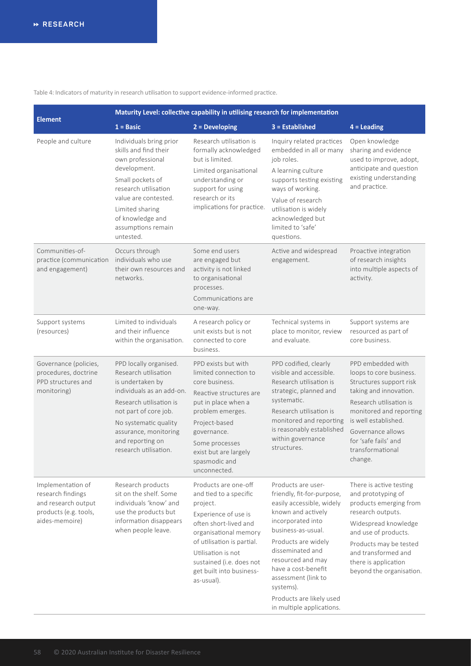Table 4: Indicators of maturity in research utilisation to support evidence-informed practice.

|                                                                                                          | Maturity Level: collective capability in utilising research for implementation                                                                                                                                                                     |                                                                                                                                                                                                                                                                |                                                                                                                                                                                                                                                                                                                                    |                                                                                                                                                                                                                                                             |  |
|----------------------------------------------------------------------------------------------------------|----------------------------------------------------------------------------------------------------------------------------------------------------------------------------------------------------------------------------------------------------|----------------------------------------------------------------------------------------------------------------------------------------------------------------------------------------------------------------------------------------------------------------|------------------------------------------------------------------------------------------------------------------------------------------------------------------------------------------------------------------------------------------------------------------------------------------------------------------------------------|-------------------------------------------------------------------------------------------------------------------------------------------------------------------------------------------------------------------------------------------------------------|--|
| <b>Element</b>                                                                                           | $1 = Basic$                                                                                                                                                                                                                                        | $2 = Developing$                                                                                                                                                                                                                                               | $3 =$ Established                                                                                                                                                                                                                                                                                                                  | $4 =$ Leading                                                                                                                                                                                                                                               |  |
| People and culture                                                                                       | Individuals bring prior<br>skills and find their<br>own professional<br>development.<br>Small pockets of<br>research utilisation<br>value are contested.<br>Limited sharing<br>of knowledge and<br>assumptions remain<br>untested.                 | Research utilisation is<br>formally acknowledged<br>but is limited.<br>Limited organisational<br>understanding or<br>support for using<br>research or its<br>implications for practice.                                                                        | Inquiry related practices<br>embedded in all or many<br>job roles.<br>A learning culture<br>supports testing existing<br>ways of working.<br>Value of research<br>utilisation is widely<br>acknowledged but<br>limited to 'safe'<br>questions.                                                                                     | Open knowledge<br>sharing and evidence<br>used to improve, adopt,<br>anticipate and question<br>existing understanding<br>and practice.                                                                                                                     |  |
| Communities-of-<br>practice (communication<br>and engagement)                                            | Occurs through<br>individuals who use<br>their own resources and<br>networks.                                                                                                                                                                      | Some end users<br>are engaged but<br>activity is not linked<br>to organisational<br>processes.<br>Communications are<br>one-way.                                                                                                                               | Active and widespread<br>engagement.                                                                                                                                                                                                                                                                                               | Proactive integration<br>of research insights<br>into multiple aspects of<br>activity.                                                                                                                                                                      |  |
| Support systems<br>(resources)                                                                           | Limited to individuals<br>and their influence<br>within the organisation.                                                                                                                                                                          | A research policy or<br>unit exists but is not<br>connected to core<br>business.                                                                                                                                                                               | Technical systems in<br>place to monitor, review<br>and evaluate.                                                                                                                                                                                                                                                                  | Support systems are<br>resourced as part of<br>core business.                                                                                                                                                                                               |  |
| Governance (policies,<br>procedures, doctrine<br>PPD structures and<br>monitoring)                       | PPD locally organised.<br>Research utilisation<br>is undertaken by<br>individuals as an add-on.<br>Research utilisation is<br>not part of core job.<br>No systematic quality<br>assurance, monitoring<br>and reporting on<br>research utilisation. | PPD exists but with<br>limited connection to<br>core business.<br>Reactive structures are<br>put in place when a<br>problem emerges.<br>Project-based<br>governance.<br>Some processes<br>exist but are largely<br>spasmodic and<br>unconnected.               | PPD codified, clearly<br>visible and accessible.<br>Research utilisation is<br>strategic, planned and<br>systematic.<br>Research utilisation is<br>monitored and reporting<br>is reasonably established<br>within governance<br>structures.                                                                                        | PPD embedded with<br>loops to core business.<br>Structures support risk<br>taking and innovation.<br>Research utilisation is<br>monitored and reporting<br>is well established.<br>Governance allows<br>for 'safe fails' and<br>transformational<br>change. |  |
| Implementation of<br>research findings<br>and research output<br>products (e.g. tools,<br>aides-memoire) | Research products<br>sit on the shelf. Some<br>individuals 'know' and<br>use the products but<br>information disappears<br>when people leave.                                                                                                      | Products are one-off<br>and tied to a specific<br>project.<br>Experience of use is<br>often short-lived and<br>organisational memory<br>of utilisation is partial.<br>Utilisation is not<br>sustained (i.e. does not<br>get built into business-<br>as-usual). | Products are user-<br>friendly, fit-for-purpose,<br>easily accessible, widely<br>known and actively<br>incorporated into<br>business-as-usual.<br>Products are widely<br>disseminated and<br>resourced and may<br>have a cost-benefit<br>assessment (link to<br>systems).<br>Products are likely used<br>in multiple applications. | There is active testing<br>and prototyping of<br>products emerging from<br>research outputs.<br>Widespread knowledge<br>and use of products.<br>Products may be tested<br>and transformed and<br>there is application<br>beyond the organisation.           |  |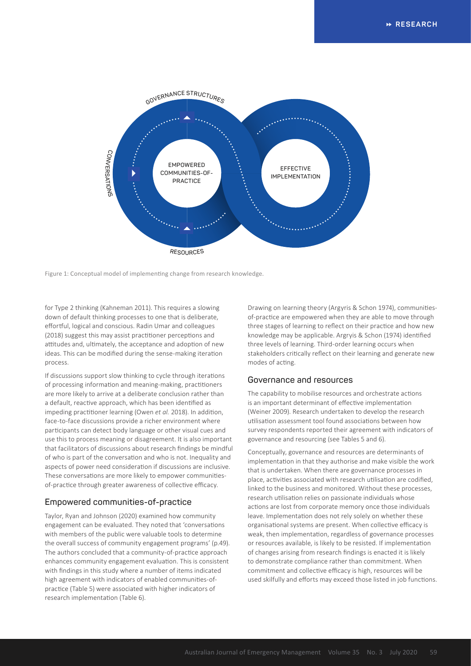

Figure 1: Conceptual model of implementing change from research knowledge.

for Type 2 thinking (Kahneman 2011). This requires a slowing down of default thinking processes to one that is deliberate, effortful, logical and conscious. Radin Umar and colleagues (2018) suggest this may assist practitioner perceptions and attitudes and, ultimately, the acceptance and adoption of new ideas. This can be modified during the sense-making iteration process.

If discussions support slow thinking to cycle through iterations of processing information and meaning-making, practitioners are more likely to arrive at a deliberate conclusion rather than a default, reactive approach, which has been identified as impeding practitioner learning (Owen *et al.* 2018). In addition, face-to-face discussions provide a richer environment where participants can detect body language or other visual cues and use this to process meaning or disagreement. It is also important that facilitators of discussions about research findings be mindful of who is part of the conversation and who is not. Inequality and aspects of power need consideration if discussions are inclusive. These conversations are more likely to empower communitiesof-practice through greater awareness of collective efficacy.

## **Empowered communities-of-practice**

Taylor, Ryan and Johnson (2020) examined how community engagement can be evaluated. They noted that 'conversations with members of the public were valuable tools to determine the overall success of community engagement programs' (p.49). The authors concluded that a community-of-practice approach enhances community engagement evaluation. This is consistent with findings in this study where a number of items indicated high agreement with indicators of enabled communities-ofpractice (Table 5) were associated with higher indicators of research implementation (Table 6).

Drawing on learning theory (Argyris & Schon 1974), communitiesof-practice are empowered when they are able to move through three stages of learning to reflect on their practice and how new knowledge may be applicable. Argryis & Schon (1974) identified three levels of learning. Third-order learning occurs when stakeholders critically reflect on their learning and generate new modes of acting.

## **Governance and resources**

The capability to mobilise resources and orchestrate actions is an important determinant of effective implementation (Weiner 2009). Research undertaken to develop the research utilisation assessment tool found associations between how survey respondents reported their agreement with indicators of governance and resourcing (see Tables 5 and 6).

Conceptually, governance and resources are determinants of implementation in that they authorise and make visible the work that is undertaken. When there are governance processes in place, activities associated with research utilisation are codified, linked to the business and monitored. Without these processes, research utilisation relies on passionate individuals whose actions are lost from corporate memory once those individuals leave. Implementation does not rely solely on whether these organisational systems are present. When collective efficacy is weak, then implementation, regardless of governance processes or resources available, is likely to be resisted. If implementation of changes arising from research findings is enacted it is likely to demonstrate compliance rather than commitment. When commitment and collective efficacy is high, resources will be used skilfully and efforts may exceed those listed in job functions.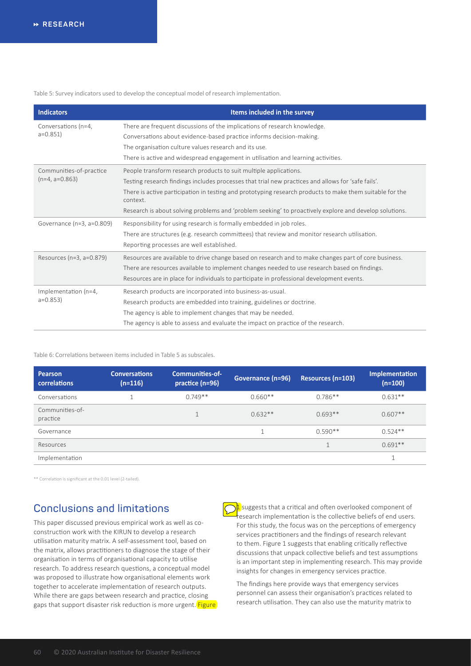Table 5: Survey indicators used to develop the conceptual model of research implementation.

| <b>Indicators</b>                | Items included in the survey                                                                                         |  |  |  |
|----------------------------------|----------------------------------------------------------------------------------------------------------------------|--|--|--|
| Conversations (n=4,<br>$a=0.851$ | There are frequent discussions of the implications of research knowledge.                                            |  |  |  |
|                                  | Conversations about evidence-based practice informs decision-making.                                                 |  |  |  |
|                                  | The organisation culture values research and its use.                                                                |  |  |  |
|                                  | There is active and widespread engagement in utilisation and learning activities.                                    |  |  |  |
| Communities-of-practice          | People transform research products to suit multiple applications.                                                    |  |  |  |
| $(n=4, a=0.863)$                 | Testing research findings includes processes that trial new practices and allows for 'safe fails'.                   |  |  |  |
|                                  | There is active participation in testing and prototyping research products to make them suitable for the<br>context. |  |  |  |
|                                  | Research is about solving problems and 'problem seeking' to proactively explore and develop solutions.               |  |  |  |
| Governance (n=3, a=0.809)        | Responsibility for using research is formally embedded in job roles.                                                 |  |  |  |
|                                  | There are structures (e.g. research committees) that review and monitor research utilisation.                        |  |  |  |
|                                  | Reporting processes are well established.                                                                            |  |  |  |
| Resources (n=3, a=0.879)         | Resources are available to drive change based on research and to make changes part of core business.                 |  |  |  |
|                                  | There are resources available to implement changes needed to use research based on findings.                         |  |  |  |
|                                  | Resources are in place for individuals to participate in professional development events.                            |  |  |  |
| Implementation (n=4,             | Research products are incorporated into business-as-usual.                                                           |  |  |  |
| $a=0.853$                        | Research products are embedded into training, guidelines or doctrine.                                                |  |  |  |
|                                  | The agency is able to implement changes that may be needed.                                                          |  |  |  |
|                                  | The agency is able to assess and evaluate the impact on practice of the research.                                    |  |  |  |

Table 6: Correlations between items included in Table 5 as subscales.

| Pearson<br>correlations     | <b>Conversations</b><br>$(n=116)$ | <b>Communities-of-</b><br>practice (n=96) | Governance (n=96) | Resources (n=103) | Implementation<br>$(n=100)$ |
|-----------------------------|-----------------------------------|-------------------------------------------|-------------------|-------------------|-----------------------------|
| Conversations               |                                   | $0.749**$                                 | $0.660**$         | $0.786**$         | $0.631**$                   |
| Communities-of-<br>practice |                                   |                                           | $0.632**$         | $0.693**$         | $0.607**$                   |
| Governance                  |                                   |                                           | 1                 | $0.590**$         | $0.524**$                   |
| Resources                   |                                   |                                           |                   | $\overline{ }$    | $0.691**$                   |
| Implementation              |                                   |                                           |                   |                   |                             |

\*\* Correlation is significant at the 0.01 level (2-tailed).

# **Conclusions and limitations**

This paper discussed previous empirical work as well as coconstruction work with the KIRUN to develop a research utilisation maturity matrix. A self-assessment tool, based on the matrix, allows practitioners to diagnose the stage of their organisation in terms of organisational capacity to utilise research. To address research questions, a conceptual model was proposed to illustrate how organisational elements work together to accelerate implementation of research outputs. While there are gaps between research and practice, closing gaps that support disaster risk reduction is more urgent. Figure

 $\frac{1}{2}$  suggests that a critical and often overlooked component of research implementation is the collective beliefs of end users. For this study, the focus was on the perceptions of emergency services practitioners and the findings of research relevant to them. Figure 1 suggests that enabling critically reflective discussions that unpack collective beliefs and test assumptions is an important step in implementing research. This may provide insights for changes in emergency services practice.

The findings here provide ways that emergency services personnel can assess their organisation's practices related to research utilisation. They can also use the maturity matrix to